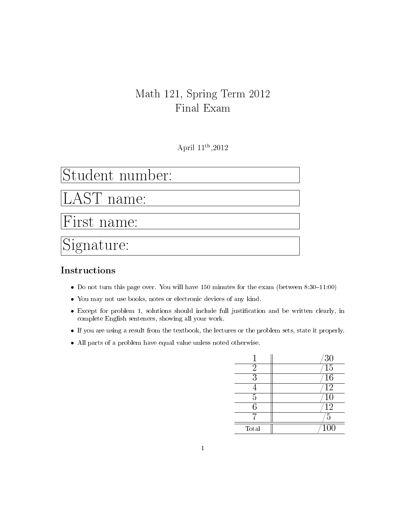## Math 121, Spring Term 2012 Final Exam

April 11th ,2012

## Student number:

AST name:

First name:

# Signature:

#### Instructions

- Do not turn this page over. You will have  $150$  minutes for the exam (between  $8:30-11:00$ )
- You may not use books, notes or electronic devices of any kind.
- Except for problem 1, solutions should include full justification and be written clearly, in complete English sentences, showing all your work.
- If you are using a result from the textbook, the lectures or the problem sets, state it properly.
- All parts of a problem have equal value unless noted otherwise.

|                | $\frac{30}{15}$  |
|----------------|------------------|
| $\overline{2}$ |                  |
| 3              | 16               |
|                | $\overline{12}$  |
| 5              | $\overline{10}$  |
| 6              | $\overline{12}$  |
|                | $\overline{5}$   |
| Total          | $\overline{100}$ |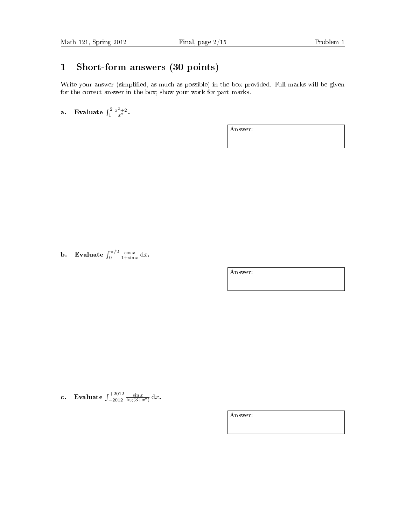#### 1 Short-form answers (30 points)

Write your answer (simplified, as much as possible) in the box provided. Full marks will be given for the correct answer in the box; show your work for part marks.

a. Evaluate  $\int_1^2 \frac{x^2+2}{x^2}$ .

Answer:

**b.** Evaluate  $\int_0^{\pi/2} \frac{\cos x}{1+\sin x} dx$ .

Answer:

c. Evaluate  $\int_{-2012}^{+2012} \frac{\sin x}{\log(3+x^2)} dx$ .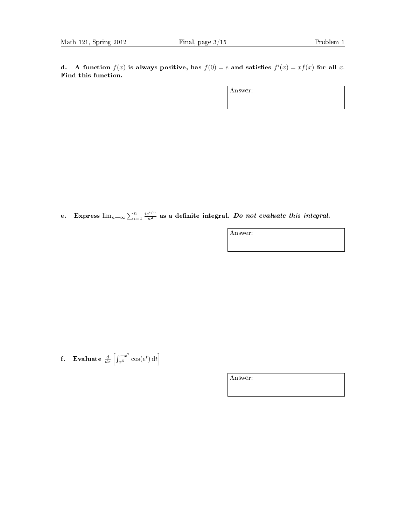d. A function  $f(x)$  is always positive, has  $f(0) = e$  and satisfies  $f'(x) = xf(x)$  for all x. Find this function.

Answer:

e. Express  $\lim_{n\to\infty}\sum_{i=1}^n\frac{ie^{i/n}}{n^2}$  as a definite integral. Do not evaluate this integral.

Answer:

**f.** Evaluate  $\frac{d}{dx} \left[ \int_{x^5}^{-x^2} \cos(e^t) dt \right]$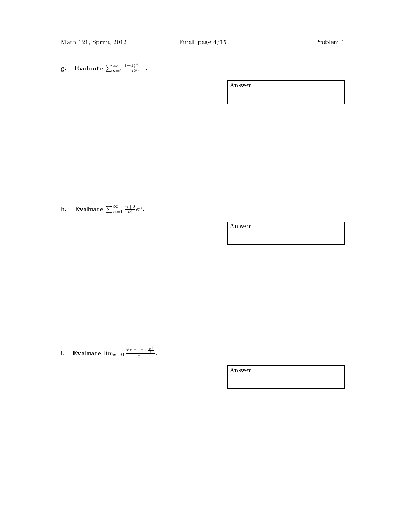g. Evaluate  $\sum_{n=1}^{\infty} \frac{(-1)^{n-1}}{n2^n}$ .

Answer:

h. Evaluate  $\sum_{n=1}^{\infty} \frac{n+2}{n!} e^n$ .

Answer:

i. Evaluate  $\lim_{x\to 0} \frac{\sin x - x + \frac{x^3}{6}}{x^5}$ .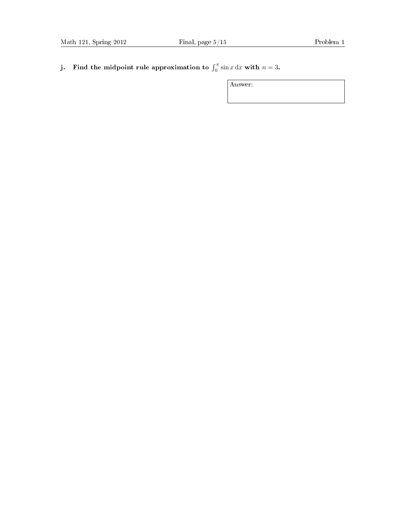j. Find the midpoint rule approximation to  $\int_0^{\pi} \sin x \, dx$  with  $n = 3$ .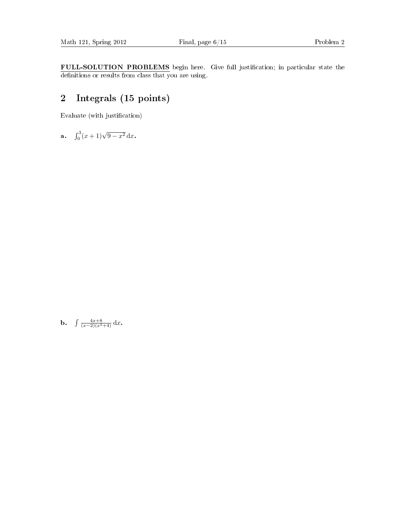FULL-SOLUTION PROBLEMS begin here. Give full justification; in particular state the definitions or results from class that you are using.

#### 2 Integrals (15 points)

Evaluate (with justification)

a.  $\int_0^3 (x+1)\sqrt{9-x^2}\,\mathrm{d}x$ .

**b.**  $\int \frac{4x+8}{(x-2)(x^2+4)} dx$ .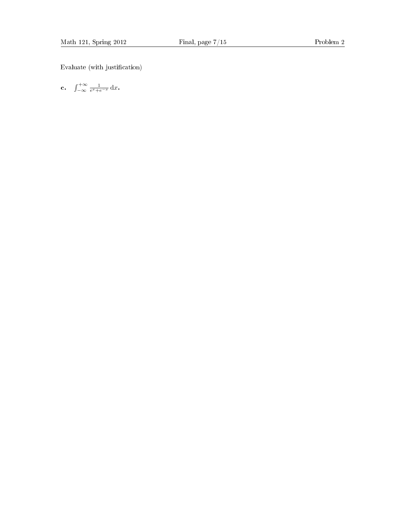Evaluate (with justification)

c.  $\int_{-\infty}^{+\infty} \frac{1}{e^x + e^{-x}} dx$ .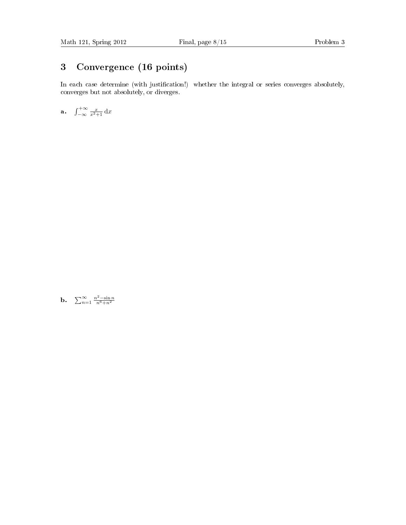#### 3 Convergence (16 points)

In each case determine (with justification!) whether the integral or series converges absolutely, converges but not absolutely, or diverges.

a.  $\int_{-\infty}^{+\infty} \frac{x}{x^2+1} dx$ 

**b.**  $\sum_{n=1}^{\infty} \frac{n^2 - \sin n}{n^6 + n^2}$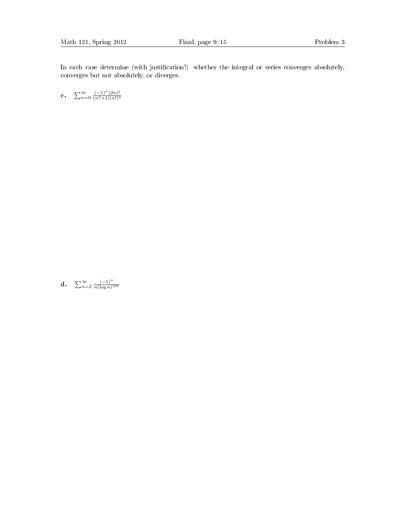In each case determine (with justification!) whether the integral or series converges absolutely, converges but not absolutely, or diverges.

c.  $\sum_{n=0}^{\infty} \frac{(-1)^n (2n)!}{(n^2+1)(n!)^2}$  $\frac{(n^2+1)(n!)^2}{(n+1)^2}$ 

**d.**  $\sum_{n=2}^{\infty} \frac{(-1)^n}{n(\log n)^1}$  $\overline{n(\log n)^{101}}$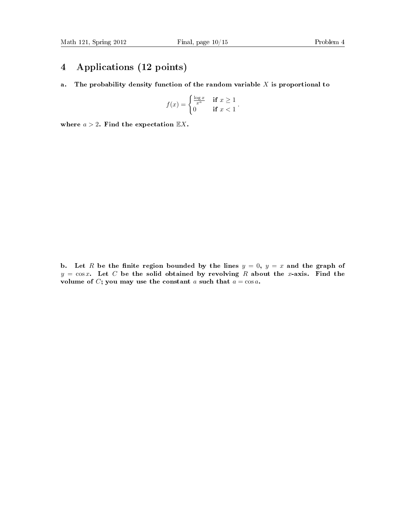#### 4 Applications (12 points)

a. The probability density function of the random variable  $X$  is proportional to

$$
f(x) = \begin{cases} \frac{\log x}{x^a} & \text{if } x \ge 1\\ 0 & \text{if } x < 1 \end{cases}.
$$

where  $a > 2$ . Find the expectation  $\mathbb{E}X$ .

b. Let R be the finite region bounded by the lines  $y = 0$ ,  $y = x$  and the graph of  $y = \cos x$ . Let C be the solid obtained by revolving R about the x-axis. Find the volume of C; you may use the constant a such that  $a = \cos a$ .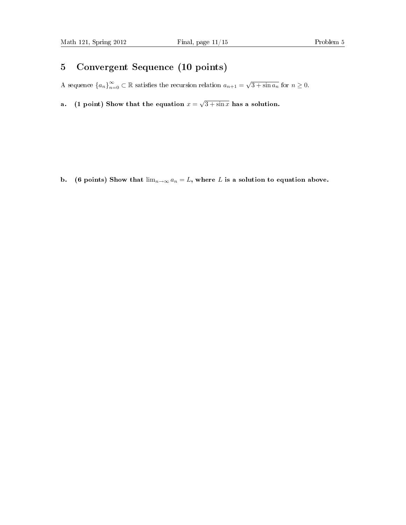#### 5 Convergent Sequence (10 points)

A sequence  ${a_n}_{n=0}^{\infty} \subset \mathbb{R}$  satisfies the recursion relation  $a_{n+1} = \sqrt{3 + \sin a_n}$  for  $n \ge 0$ .

a. (1 point) Show that the equation  $x =$ √  $3 + \sin x$  has a solution.

b. (6 points) Show that  $\lim_{n\to\infty} a_n = L$ , where L is a solution to equation above.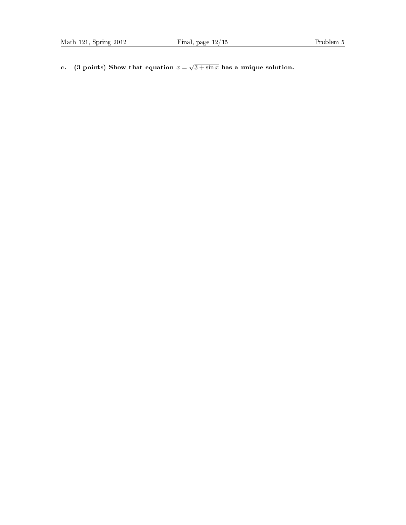c. (3 points) Show that equation  $x =$ √  $3 + \sin x$  has a unique solution.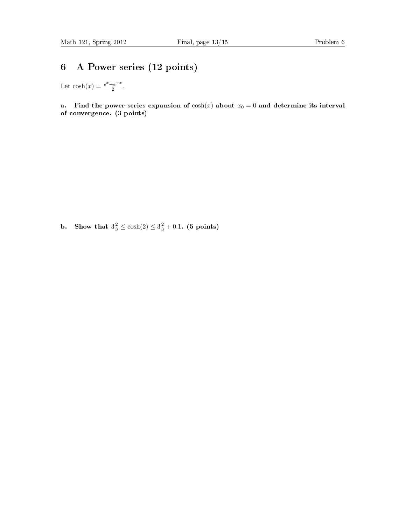### 6 A Power series (12 points)

Let  $\cosh(x) = \frac{e^x + e^{-x}}{2}$  $\frac{-e^{-x}}{2}$ .

a. Find the power series expansion of  $cosh(x)$  about  $x_0 = 0$  and determine its interval of convergence. (3 points)

**b.** Show that  $3\frac{2}{3} \le \cosh(2) \le 3\frac{2}{3} + 0.1$ . (5 points)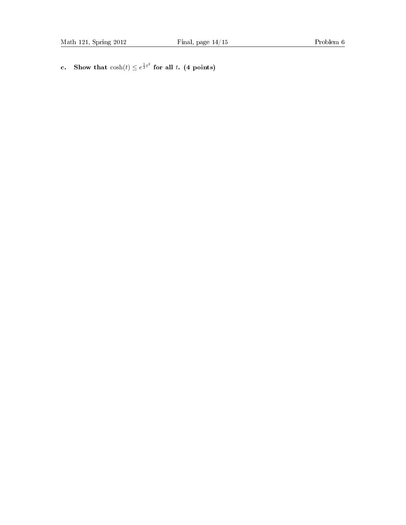c. Show that  $cosh(t) \leq e^{\frac{1}{2}t^2}$  for all t. (4 points)